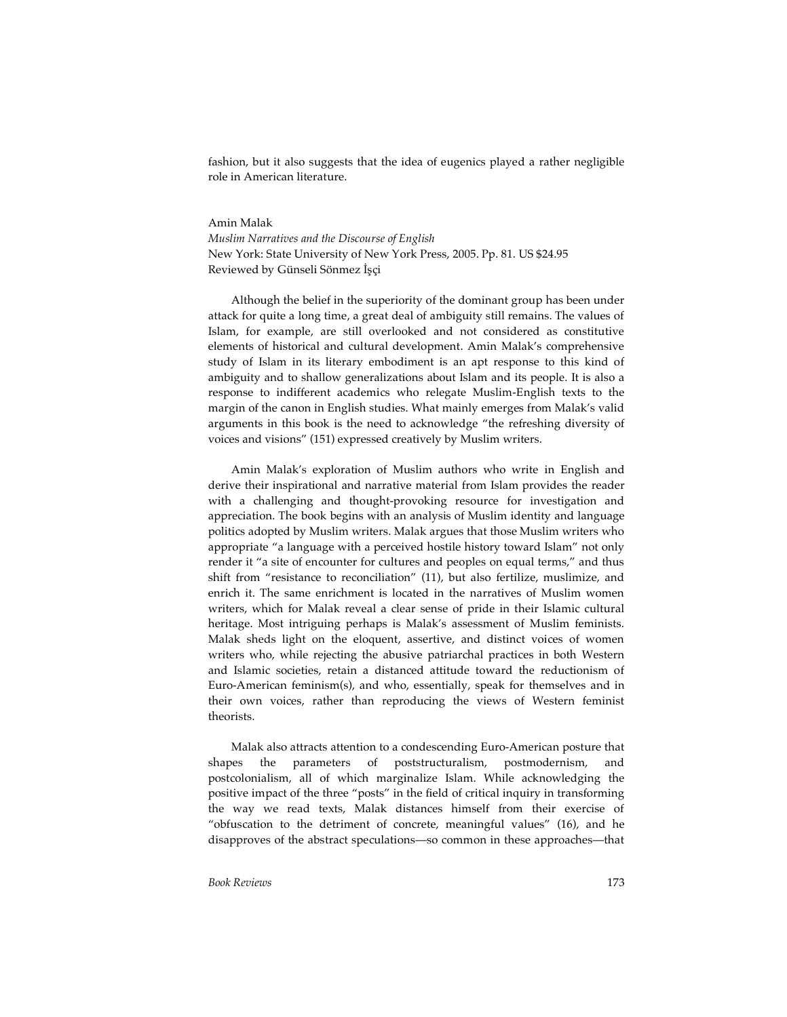fashion, but it also suggests that the idea of eugenics played a rather negligible role in American literature.

## Amin Malak

*Muslim Narratives and the Discourse of English* New York: State University of New York Press, 2005. Pp. 81. US \$24.95 Reviewed by Günseli Sönmez İşçi

Although the belief in the superiority of the dominant group has been under attack for quite a long time, a great deal of ambiguity still remains. The values of Islam, for example, are still overlooked and not considered as constitutive elements of historical and cultural development. Amin Malak's comprehensive study of Islam in its literary embodiment is an apt response to this kind of ambiguity and to shallow generalizations about Islam and its people. It is also a response to indifferent academics who relegate Muslim-English texts to the margin of the canon in English studies. What mainly emerges from Malak's valid arguments in this book is the need to acknowledge "the refreshing diversity of voices and visions" (151) expressed creatively by Muslim writers.

Amin Malak's exploration of Muslim authors who write in English and derive their inspirational and narrative material from Islam provides the reader with a challenging and thought-provoking resource for investigation and appreciation. The book begins with an analysis of Muslim identity and language politics adopted by Muslim writers. Malak argues that those Muslim writers who appropriate "a language with a perceived hostile history toward Islam" not only render it "a site of encounter for cultures and peoples on equal terms," and thus shift from "resistance to reconciliation" (11), but also fertilize, muslimize, and enrich it. The same enrichment is located in the narratives of Muslim women writers, which for Malak reveal a clear sense of pride in their Islamic cultural heritage. Most intriguing perhaps is Malak's assessment of Muslim feminists. Malak sheds light on the eloquent, assertive, and distinct voices of women writers who, while rejecting the abusive patriarchal practices in both Western and Islamic societies, retain a distanced attitude toward the reductionism of Euro-American feminism(s), and who, essentially, speak for themselves and in their own voices, rather than reproducing the views of Western feminist theorists.

Malak also attracts attention to a condescending Euro-American posture that shapes the parameters of poststructuralism, postmodernism, and postcolonialism, all of which marginalize Islam. While acknowledging the positive impact of the three "posts" in the field of critical inquiry in transforming the way we read texts, Malak distances himself from their exercise of "obfuscation to the detriment of concrete, meaningful values" (16), and he disapproves of the abstract speculations—so common in these approaches—that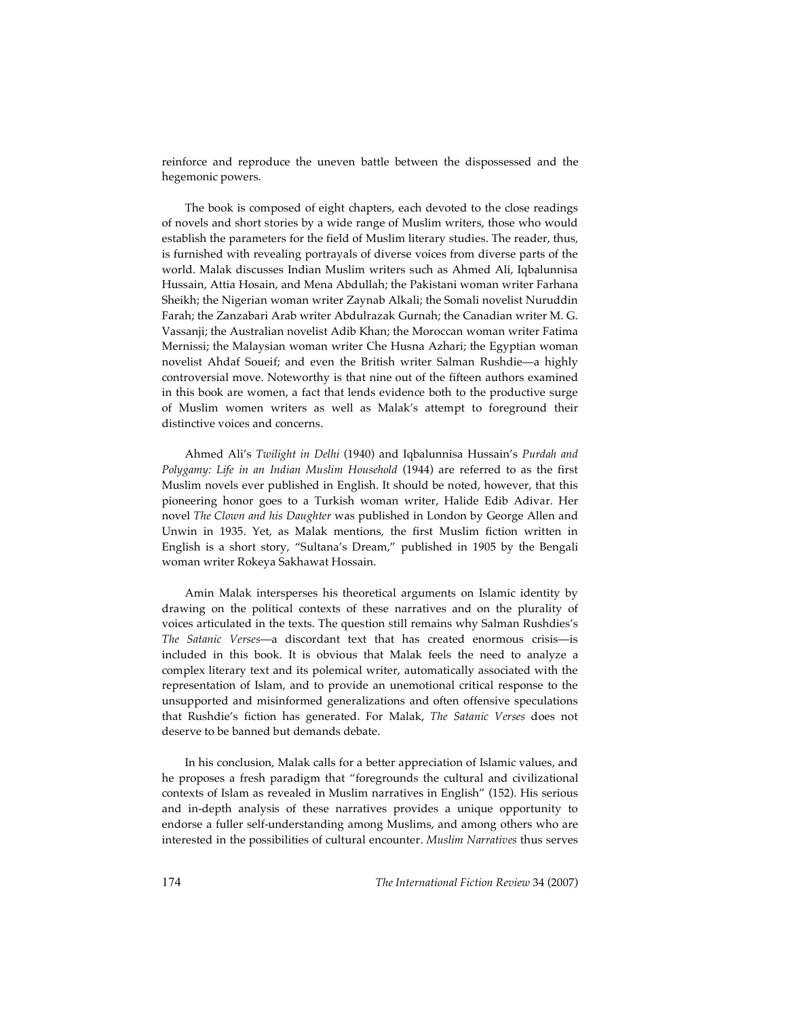reinforce and reproduce the uneven battle between the dispossessed and the hegemonic powers.

The book is composed of eight chapters, each devoted to the close readings of novels and short stories by a wide range of Muslim writers, those who would establish the parameters for the field of Muslim literary studies. The reader, thus, is furnished with revealing portrayals of diverse voices from diverse parts of the world. Malak discusses Indian Muslim writers such as Ahmed Ali, Iqbalunnisa Hussain, Attia Hosain, and Mena Abdullah; the Pakistani woman writer Farhana Sheikh; the Nigerian woman writer Zaynab Alkali; the Somali novelist Nuruddin Farah; the Zanzabari Arab writer Abdulrazak Gurnah; the Canadian writer M. G. Vassanji; the Australian novelist Adib Khan; the Moroccan woman writer Fatima Mernissi; the Malaysian woman writer Che Husna Azhari; the Egyptian woman novelist Ahdaf Soueif; and even the British writer Salman Rushdie—a highly controversial move. Noteworthy is that nine out of the fifteen authors examined in this book are women, a fact that lends evidence both to the productive surge of Muslim women writers as well as Malak's attempt to foreground their distinctive voices and concerns.

Ahmed Ali's *Twilight in Delhi* (1940) and Iqbalunnisa Hussain's *Purdah and Polygamy: Life in an Indian Muslim Household* (1944) are referred to as the first Muslim novels ever published in English. It should be noted, however, that this pioneering honor goes to a Turkish woman writer, Halide Edib Adivar. Her novel *The Clown and his Daughter* was published in London by George Allen and Unwin in 1935. Yet, as Malak mentions, the first Muslim fiction written in English is a short story, "Sultana's Dream," published in 1905 by the Bengali woman writer Rokeya Sakhawat Hossain.

Amin Malak intersperses his theoretical arguments on Islamic identity by drawing on the political contexts of these narratives and on the plurality of voices articulated in the texts. The question still remains why Salman Rushdies's *The Satanic Verses*—a discordant text that has created enormous crisis—is included in this book. It is obvious that Malak feels the need to analyze a complex literary text and its polemical writer, automatically associated with the representation of Islam, and to provide an unemotional critical response to the unsupported and misinformed generalizations and often offensive speculations that Rushdie's fiction has generated. For Malak, *The Satanic Verses* does not deserve to be banned but demands debate.

In his conclusion, Malak calls for a better appreciation of Islamic values, and he proposes a fresh paradigm that "foregrounds the cultural and civilizational contexts of Islam as revealed in Muslim narratives in English" (152). His serious and in-depth analysis of these narratives provides a unique opportunity to endorse a fuller self-understanding among Muslims, and among others who are interested in the possibilities of cultural encounter. *Muslim Narratives* thus serves